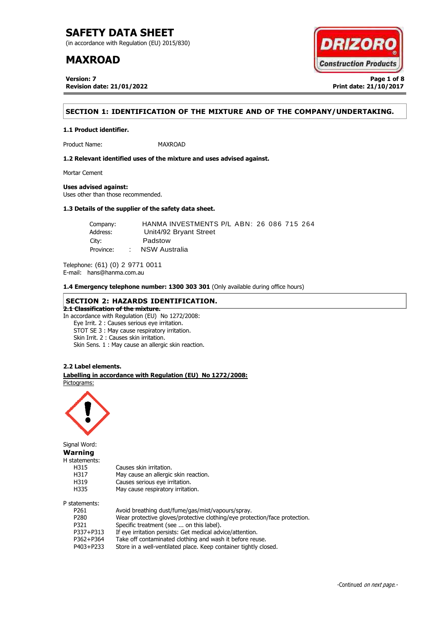(in accordance with Regulation (EU) 2015/830)

## **MAXROAD**

**Version: 7 Page 1 of 8 Revision date: 21/01/2022 Print date: 21/10/2017**



## **SECTION 1: IDENTIFICATION OF THE MIXTURE AND OF THE COMPANY/UNDERTAKING.**

**1.1 Product identifier.**

Product Name: MAXROAD

**1.2 Relevant identified uses of the mixture and uses advised against.**

Mortar Cement

**Uses advised against:**

Uses other than those recommended.

## **1.3 Details of the supplier of the safety data sheet.**

Company: HANMA INVESTMENTS P/L ABN: 26 086 715 264 Address: Unit4/92 Bryant Street City: Padstow Province: : NSW Australia

Telephone: (61) (0) 2 9771 0011 E-mail: hans@hanma.com.au

**1.4 Emergency telephone number: 1300 303 301** (Only available during office hours)

### **SECTION 2: HAZARDS IDENTIFICATION. 2.1 Classification of the mixture.**

In accordance with Regulation (EU) No 1272/2008:

Eye Irrit. 2 : Causes serious eye irritation.

STOT SE 3 : May cause respiratory irritation.

Skin Irrit. 2 : Causes skin irritation.

Skin Sens. 1 : May cause an allergic skin reaction.

### **2.2 Label elements.**

. **Labelling in accordance with Regulation (EU) No 1272/2008:** Pictograms:



Signal Word:

**Warning** H statements:

| .                |                                                                            |
|------------------|----------------------------------------------------------------------------|
| H315             | Causes skin irritation.                                                    |
| H317             | May cause an allergic skin reaction.                                       |
| H319             | Causes serious eye irritation.                                             |
| H335             | May cause respiratory irritation.                                          |
| P statements:    |                                                                            |
| P <sub>261</sub> | Avoid breathing dust/fume/gas/mist/vapours/spray.                          |
| P <sub>280</sub> | Wear protective gloves/protective clothing/eye protection/face protection. |
| P321             | Specific treatment (see  on this label).                                   |
| P337+P313        | If eye irritation persists: Get medical advice/attention.                  |
| P362+P364        | Take off contaminated clothing and wash it before reuse.                   |
| P403+P233        | Store in a well-ventilated place. Keep container tightly closed.           |
|                  |                                                                            |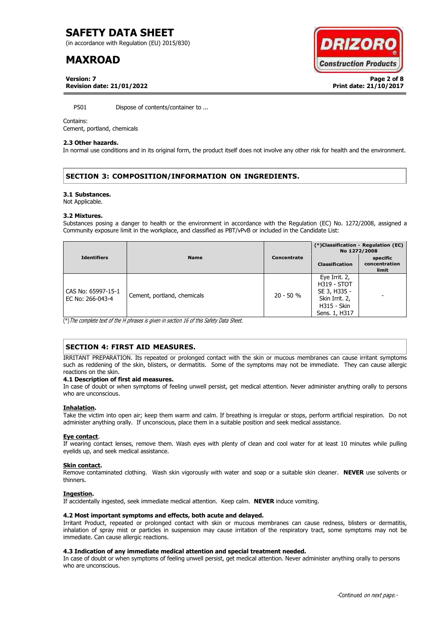(in accordance with Regulation (EU) 2015/830)

# **MAXROAD**

**Version: 7 Page 2 of 8 Revision date: 21/01/2022 Print date: 21/10/2017**



P501 Dispose of contents/container to ...

#### Contains:

Cement, portland, chemicals

#### **2.3 Other hazards.**

In normal use conditions and in its original form, the product itself does not involve any other risk for health and the environment.

## **SECTION 3: COMPOSITION/INFORMATION ON INGREDIENTS.**

#### **3.1 Substances.**

Not Applicable.

#### **3.2 Mixtures.**

Substances posing a danger to health or the environment in accordance with the Regulation (EC) No. 1272/2008, assigned a Community exposure limit in the workplace, and classified as PBT/vPvB or included in the Candidate List:

|                                        |                             |             | (*)Classification - Regulation (EC)<br>No 1272/2008                                                          |                                    |
|----------------------------------------|-----------------------------|-------------|--------------------------------------------------------------------------------------------------------------|------------------------------------|
| <b>Identifiers</b>                     | <b>Name</b>                 | Concentrate | <b>Classification</b>                                                                                        | specific<br>concentration<br>limit |
| CAS No: 65997-15-1<br>EC No: 266-043-4 | Cement, portland, chemicals | $20 - 50 %$ | Eye Irrit. 2,<br><b>H319 - STOT</b><br>SE 3, H335 -<br>Skin Irrit. 2,<br><b>H315 - Skin</b><br>Sens. 1, H317 |                                    |

(\*)The complete text of the H phrases is given in section 16 of this Safety Data Sheet.

## **SECTION 4: FIRST AID MEASURES.**

IRRITANT PREPARATION. Its repeated or prolonged contact with the skin or mucous membranes can cause irritant symptoms such as reddening of the skin, blisters, or dermatitis. Some of the symptoms may not be immediate. They can cause allergic reactions on the skin.

#### **4.1 Description of first aid measures.**

In case of doubt or when symptoms of feeling unwell persist, get medical attention. Never administer anything orally to persons who are unconscious.

#### **Inhalation.**

Take the victim into open air; keep them warm and calm. If breathing is irregular or stops, perform artificial respiration. Do not administer anything orally. If unconscious, place them in a suitable position and seek medical assistance.

#### **Eye contact**.

If wearing contact lenses, remove them. Wash eyes with plenty of clean and cool water for at least 10 minutes while pulling eyelids up, and seek medical assistance.

#### **Skin contact.**

Remove contaminated clothing. Wash skin vigorously with water and soap or a suitable skin cleaner. **NEVER** use solvents or thinners.

#### **Ingestion.**

If accidentally ingested, seek immediate medical attention. Keep calm. **NEVER** induce vomiting.

### **4.2 Most important symptoms and effects, both acute and delayed.**

Irritant Product, repeated or prolonged contact with skin or mucous membranes can cause redness, blisters or dermatitis, inhalation of spray mist or particles in suspension may cause irritation of the respiratory tract, some symptoms may not be immediate. Can cause allergic reactions.

#### **4.3 Indication of any immediate medical attention and special treatment needed.**

In case of doubt or when symptoms of feeling unwell persist, get medical attention. Never administer anything orally to persons who are unconscious.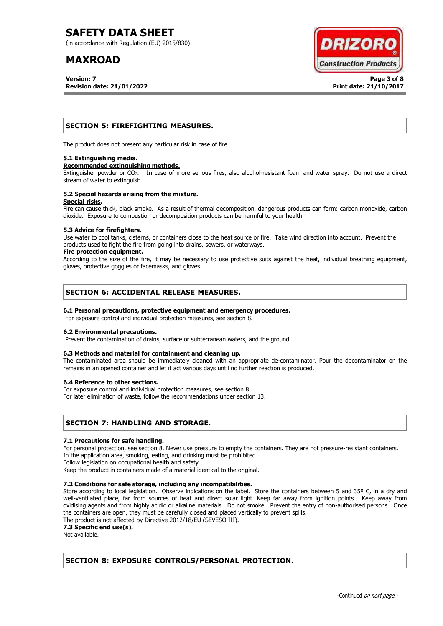(in accordance with Regulation (EU) 2015/830)

# **MAXROAD**

**Version: 7 Page 3 of 8 Revision date: 21/01/2022 Print date: 21/10/2017**



## **SECTION 5: FIREFIGHTING MEASURES.**

The product does not present any particular risk in case of fire.

#### **5.1 Extinguishing media.**

#### **Recommended extinguishing methods.**

Extinguisher powder or CO<sub>2</sub>. In case of more serious fires, also alcohol-resistant foam and water spray. Do not use a direct stream of water to extinguish.

#### **5.2 Special hazards arising from the mixture. Special risks.**

Fire can cause thick, black smoke. As a result of thermal decomposition, dangerous products can form: carbon monoxide, carbon dioxide. Exposure to combustion or decomposition products can be harmful to your health.

#### **5.3 Advice for firefighters.**

Use water to cool tanks, cisterns, or containers close to the heat source or fire. Take wind direction into account. Prevent the products used to fight the fire from going into drains, sewers, or waterways.

#### **Fire protection equipment.**

According to the size of the fire, it may be necessary to use protective suits against the heat, individual breathing equipment, gloves, protective goggles or facemasks, and gloves.

## **SECTION 6: ACCIDENTAL RELEASE MEASURES.**

### **6.1 Personal precautions, protective equipment and emergency procedures.**

For exposure control and individual protection measures, see section 8.

### **6.2 Environmental precautions.**

Prevent the contamination of drains, surface or subterranean waters, and the ground.

#### **6.3 Methods and material for containment and cleaning up.**

The contaminated area should be immediately cleaned with an appropriate de-contaminator. Pour the decontaminator on the remains in an opened container and let it act various days until no further reaction is produced.

#### **6.4 Reference to other sections.**

For exposure control and individual protection measures, see section 8.

For later elimination of waste, follow the recommendations under section 13.

## **SECTION 7: HANDLING AND STORAGE.**

#### **7.1 Precautions for safe handling.**

For personal protection, see section 8. Never use pressure to empty the containers. They are not pressure-resistant containers. In the application area, smoking, eating, and drinking must be prohibited.

Follow legislation on occupational health and safety.

Keep the product in containers made of a material identical to the original.

### **7.2 Conditions for safe storage, including any incompatibilities.**

Store according to local legislation. Observe indications on the label. Store the containers between 5 and 35° C, in a dry and well-ventilated place, far from sources of heat and direct solar light. Keep far away from ignition points. Keep away from oxidising agents and from highly acidic or alkaline materials. Do not smoke. Prevent the entry of non-authorised persons. Once the containers are open, they must be carefully closed and placed vertically to prevent spills.

The product is not affected by Directive 2012/18/EU (SEVESO III).

**7.3 Specific end use(s).**

Not available.

## **SECTION 8: EXPOSURE CONTROLS/PERSONAL PROTECTION.**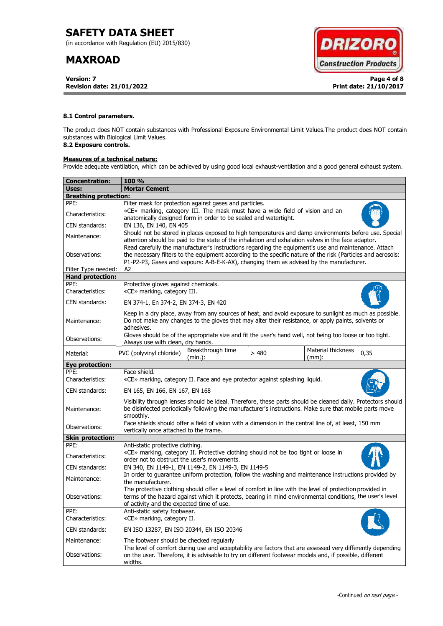(in accordance with Regulation (EU) 2015/830)

# **MAXROAD**

**Version: 7 Page 4 of 8 Revision date: 21/01/2022 Print date: 21/10/2017**



### **8.1 Control parameters.**

The product does NOT contain substances with Professional Exposure Environmental Limit Values.The product does NOT contain substances with Biological Limit Values.

## **8.2 Exposure controls.**

## **Measures of a technical nature:**

Provide adequate ventilation, which can be achieved by using good local exhaust-ventilation and a good general exhaust system.

| <b>Concentration:</b>        | <b>100 %</b>                                                                                                                                                                                                                                                                                                        |  |  |  |
|------------------------------|---------------------------------------------------------------------------------------------------------------------------------------------------------------------------------------------------------------------------------------------------------------------------------------------------------------------|--|--|--|
| Uses:                        | <b>Mortar Cement</b>                                                                                                                                                                                                                                                                                                |  |  |  |
| <b>Breathing protection:</b> |                                                                                                                                                                                                                                                                                                                     |  |  |  |
| PPE:                         | Filter mask for protection against gases and particles.                                                                                                                                                                                                                                                             |  |  |  |
| Characteristics:             | «CE» marking, category III. The mask must have a wide field of vision and an<br>anatomically designed form in order to be sealed and watertight.                                                                                                                                                                    |  |  |  |
| CEN standards:               | EN 136, EN 140, EN 405                                                                                                                                                                                                                                                                                              |  |  |  |
| Maintenance:                 | Should not be stored in places exposed to high temperatures and damp environments before use. Special<br>attention should be paid to the state of the inhalation and exhalation valves in the face adaptor.<br>Read carefully the manufacturer's instructions regarding the equipment's use and maintenance. Attach |  |  |  |
| Observations:                | the necessary filters to the equipment according to the specific nature of the risk (Particles and aerosols:<br>P1-P2-P3, Gases and vapours: A-B-E-K-AX), changing them as advised by the manufacturer.                                                                                                             |  |  |  |
| Filter Type needed:          | A2                                                                                                                                                                                                                                                                                                                  |  |  |  |
| <b>Hand protection:</b>      |                                                                                                                                                                                                                                                                                                                     |  |  |  |
| PPE:<br>Characteristics:     | Protective gloves against chemicals.<br>«CE» marking, category III.                                                                                                                                                                                                                                                 |  |  |  |
| CEN standards:               | EN 374-1, En 374-2, EN 374-3, EN 420                                                                                                                                                                                                                                                                                |  |  |  |
| Maintenance:                 | Keep in a dry place, away from any sources of heat, and avoid exposure to sunlight as much as possible.<br>Do not make any changes to the gloves that may alter their resistance, or apply paints, solvents or<br>adhesives.                                                                                        |  |  |  |
| Observations:                | Gloves should be of the appropriate size and fit the user's hand well, not being too loose or too tight.<br>Always use with clean, dry hands.                                                                                                                                                                       |  |  |  |
| Material:                    | Breakthrough time<br>Material thickness<br>PVC (polyvinyl chloride)<br>0,35<br>>480<br>(min.):<br>$(mm)$ :                                                                                                                                                                                                          |  |  |  |
| Eye protection:              |                                                                                                                                                                                                                                                                                                                     |  |  |  |
| PPE:<br>Characteristics:     | Face shield.<br>«CE» marking, category II. Face and eye protector against splashing liquid.                                                                                                                                                                                                                         |  |  |  |
| CEN standards:               | EN 165, EN 166, EN 167, EN 168                                                                                                                                                                                                                                                                                      |  |  |  |
| Maintenance:                 | Visibility through lenses should be ideal. Therefore, these parts should be cleaned daily. Protectors should<br>be disinfected periodically following the manufacturer's instructions. Make sure that mobile parts move<br>smoothly.                                                                                |  |  |  |
| Observations:                | Face shields should offer a field of vision with a dimension in the central line of, at least, 150 mm<br>vertically once attached to the frame.                                                                                                                                                                     |  |  |  |
| <b>Skin protection:</b>      |                                                                                                                                                                                                                                                                                                                     |  |  |  |
| PPE:                         | Anti-static protective clothing.                                                                                                                                                                                                                                                                                    |  |  |  |
| Characteristics:             | «CE» marking, category II. Protective clothing should not be too tight or loose in<br>order not to obstruct the user's movements.                                                                                                                                                                                   |  |  |  |
| CEN standards:               | EN 340, EN 1149-1, EN 1149-2, EN 1149-3, EN 1149-5                                                                                                                                                                                                                                                                  |  |  |  |
| Maintenance:                 | In order to guarantee uniform protection, follow the washing and maintenance instructions provided by<br>the manufacturer.                                                                                                                                                                                          |  |  |  |
| Observations:                | The protective clothing should offer a level of comfort in line with the level of protection provided in<br>terms of the hazard against which it protects, bearing in mind environmental conditions, the user's level<br>of activity and the expected time of use.                                                  |  |  |  |
| PPE:<br>Characteristics:     | Anti-static safety footwear.<br>«CE» marking, category II.                                                                                                                                                                                                                                                          |  |  |  |
| CEN standards:               | EN ISO 13287, EN ISO 20344, EN ISO 20346                                                                                                                                                                                                                                                                            |  |  |  |
| Maintenance:                 | The footwear should be checked regularly                                                                                                                                                                                                                                                                            |  |  |  |
| Observations:                | The level of comfort during use and acceptability are factors that are assessed very differently depending<br>on the user. Therefore, it is advisable to try on different footwear models and, if possible, different<br>widths.                                                                                    |  |  |  |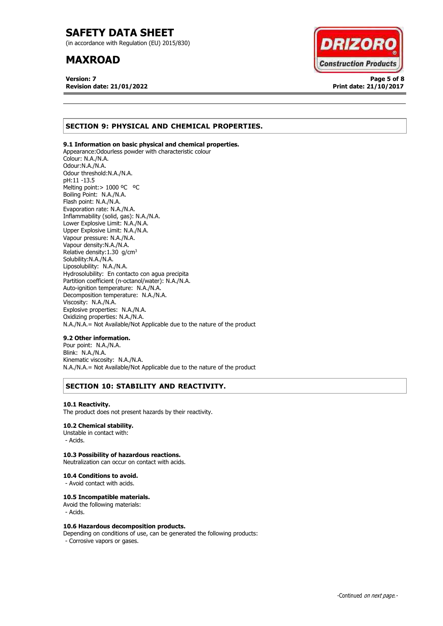(in accordance with Regulation (EU) 2015/830)

## **MAXROAD**

**Version: 7 Page 5 of 8 Revision date: 21/01/2022 Print date: 21/10/2017**



## **SECTION 9: PHYSICAL AND CHEMICAL PROPERTIES.**

### **9.1 Information on basic physical and chemical properties.**

Appearance:Odourless powder with characteristic colour Colour: N.A./N.A. Odour:N.A./N.A. Odour threshold:N.A./N.A. pH:11 -13.5 Melting point: > 1000 °C °C Boiling Point: N.A./N.A. Flash point: N.A./N.A. Evaporation rate: N.A./N.A. Inflammability (solid, gas): N.A./N.A. Lower Explosive Limit: N.A./N.A. Upper Explosive Limit: N.A./N.A. Vapour pressure: N.A./N.A. Vapour density:N.A./N.A. Relative density:  $1.30$  g/cm<sup>3</sup> Solubility:N.A./N.A. Liposolubility: N.A./N.A. Hydrosolubility: En contacto con agua precipita Partition coefficient (n-octanol/water): N.A./N.A. Auto-ignition temperature: N.A./N.A. Decomposition temperature: N.A./N.A. Viscosity: N.A./N.A. Explosive properties: N.A./N.A. Oxidizing properties: N.A./N.A. N.A./N.A.= Not Available/Not Applicable due to the nature of the product

#### **9.2 Other information.**

Pour point: N.A./N.A. Blink: N.A./N.A. Kinematic viscosity: N.A./N.A. N.A./N.A.= Not Available/Not Applicable due to the nature of the product

## **SECTION 10: STABILITY AND REACTIVITY.**

#### **10.1 Reactivity.**

The product does not present hazards by their reactivity.

#### **10.2 Chemical stability.**

Unstable in contact with: - Acids.

### **10.3 Possibility of hazardous reactions.**

Neutralization can occur on contact with acids.

#### **10.4 Conditions to avoid.**

- Avoid contact with acids.

#### **10.5 Incompatible materials.**

Avoid the following materials: - Acids.

#### **10.6 Hazardous decomposition products.**

Depending on conditions of use, can be generated the following products: - Corrosive vapors or gases.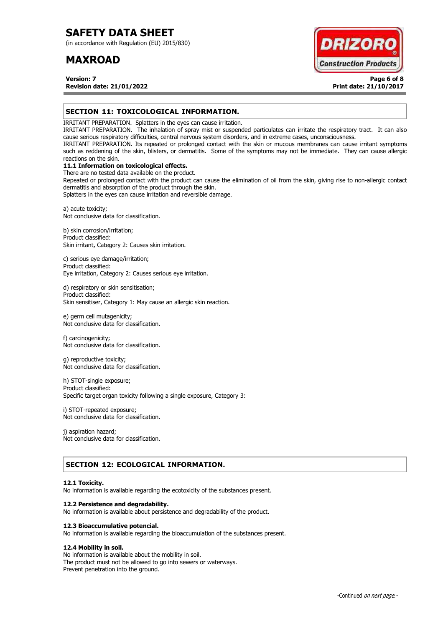(in accordance with Regulation (EU) 2015/830)

## **MAXROAD**



**Version: 7 Page 6 of 8 Revision date: 21/01/2022 Print date: 21/10/2017**

## **SECTION 11: TOXICOLOGICAL INFORMATION.**

IRRITANT PREPARATION. Splatters in the eyes can cause irritation.

IRRITANT PREPARATION. The inhalation of spray mist or suspended particulates can irritate the respiratory tract. It can also cause serious respiratory difficulties, central nervous system disorders, and in extreme cases, unconsciousness.

IRRITANT PREPARATION. Its repeated or prolonged contact with the skin or mucous membranes can cause irritant symptoms such as reddening of the skin, blisters, or dermatitis. Some of the symptoms may not be immediate. They can cause allergic reactions on the skin.

## **11.1 Information on toxicological effects.**

There are no tested data available on the product. Repeated or prolonged contact with the product can cause the elimination of oil from the skin, giving rise to non-allergic contact dermatitis and absorption of the product through the skin.

Splatters in the eyes can cause irritation and reversible damage.

a) acute toxicity; Not conclusive data for classification.

b) skin corrosion/irritation; Product classified: Skin irritant, Category 2: Causes skin irritation.

c) serious eye damage/irritation; Product classified: Eye irritation, Category 2: Causes serious eye irritation.

d) respiratory or skin sensitisation; Product classified: Skin sensitiser, Category 1: May cause an allergic skin reaction.

e) germ cell mutagenicity; Not conclusive data for classification.

f) carcinogenicity; Not conclusive data for classification.

g) reproductive toxicity; Not conclusive data for classification.

h) STOT-single exposure; Product classified: Specific target organ toxicity following a single exposure, Category 3:

i) STOT-repeated exposure; Not conclusive data for classification.

j) aspiration hazard; Not conclusive data for classification.

## **SECTION 12: ECOLOGICAL INFORMATION.**

#### **12.1 Toxicity.**

No information is available regarding the ecotoxicity of the substances present.

#### **12.2 Persistence and degradability.**

No information is available about persistence and degradability of the product.

#### **12.3 Bioaccumulative potencial.**

No information is available regarding the bioaccumulation of the substances present.

## **12.4 Mobility in soil.**

No information is available about the mobility in soil. The product must not be allowed to go into sewers or waterways. Prevent penetration into the ground.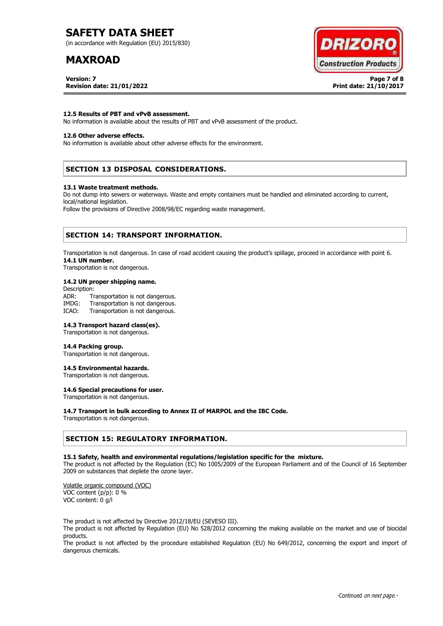(in accordance with Regulation (EU) 2015/830)

# **MAXROAD**

**Version: 7 Page 7 of 8 Revision date: 21/01/2022 Print date: 21/10/2017**



#### **12.5 Results of PBT and vPvB assessment.**

No information is available about the results of PBT and vPvB assessment of the product.

#### **12.6 Other adverse effects.**

No information is available about other adverse effects for the environment.

### **SECTION 13 DISPOSAL CONSIDERATIONS.**

#### **13.1 Waste treatment methods.**

Do not dump into sewers or waterways. Waste and empty containers must be handled and eliminated according to current, local/national legislation.

Follow the provisions of Directive 2008/98/EC regarding waste management.

### **SECTION 14: TRANSPORT INFORMATION.**

Transportation is not dangerous. In case of road accident causing the product's spillage, proceed in accordance with point 6. **14.1 UN number.**

Transportation is not dangerous.

#### **14.2 UN proper shipping name.**

Description: ADR: Transportation is not dangerous.<br>IMDG: Transportation is not dangerous. Transportation is not dangerous. ICAO: Transportation is not dangerous.

#### **14.3 Transport hazard class(es).**

Transportation is not dangerous.

#### **14.4 Packing group.**

Transportation is not dangerous.

#### **14.5 Environmental hazards.**

Transportation is not dangerous.

## **14.6 Special precautions for user.**

Transportation is not dangerous.

#### **14.7 Transport in bulk according to Annex II of MARPOL and the IBC Code.**

Transportation is not dangerous.

### **SECTION 15: REGULATORY INFORMATION.**

#### **15.1 Safety, health and environmental regulations/legislation specific for the mixture.**

The product is not affected by the Regulation (EC) No 1005/2009 of the European Parliament and of the Council of 16 September 2009 on substances that deplete the ozone layer.

Volatile organic compound (VOC) VOC content (p/p): 0 % VOC content: 0 g/l

The product is not affected by Directive 2012/18/EU (SEVESO III).

The product is not affected by Regulation (EU) No 528/2012 concerning the making available on the market and use of biocidal products.

The product is not affected by the procedure established Regulation (EU) No 649/2012, concerning the export and import of dangerous chemicals.